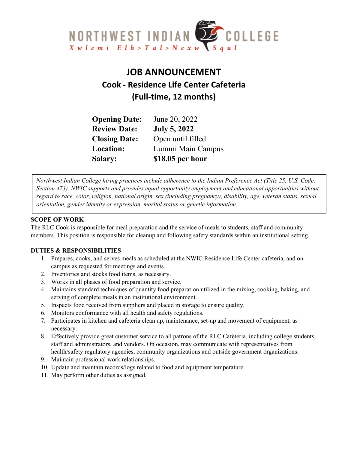

# **JOB ANNOUNCEMENT Cook - Residence Life Center Cafeteria (Full-time, 12 months)**

| <b>Opening Date:</b> | June 20, 2022       |
|----------------------|---------------------|
| <b>Review Date:</b>  | <b>July 5, 2022</b> |
| <b>Closing Date:</b> | Open until filled   |
| Location:            | Lummi Main Campus   |
| <b>Salary:</b>       | \$18.05 per hour    |

*Northwest Indian College hiring practices include adherence to the Indian Preference Act (Title 25, U.S. Code, Section 473). NWIC supports and provides equal opportunity employment and educational opportunities without regard to race, color, religion, national origin, sex (including pregnancy), disability, age, veteran status, sexual orientation, gender identity or expression, marital status or genetic information.*

# **SCOPE OF WORK**

The RLC Cook is responsible for meal preparation and the service of meals to students, staff and community members. This position is responsible for cleanup and following safety standards within an institutional setting.

# **DUTIES & RESPONSIBILITIES**

- 1. Prepares, cooks, and serves meals as scheduled at the NWIC Residence Life Center cafeteria, and on campus as requested for meetings and events.
- 2. Inventories and stocks food items, as necessary.
- 3. Works in all phases of food preparation and service.
- 4. Maintains standard techniques of quantity food preparation utilized in the mixing, cooking, baking, and serving of complete meals in an institutional environment.
- 5. Inspects food received from suppliers and placed in storage to ensure quality.
- 6. Monitors conformance with all health and safety regulations.
- 7. Participates in kitchen and cafeteria clean up, maintenance, set-up and movement of equipment, as necessary.
- 8. Effectively provide great customer service to all patrons of the RLC Cafeteria, including college students, staff and administrators, and vendors. On occasion, may communicate with representatives from health/safety regulatory agencies, community organizations and outside government organizations.
- 9. Maintain professional work relationships.
- 10. Update and maintain records/logs related to food and equipment temperature.
- 11. May perform other duties as assigned.